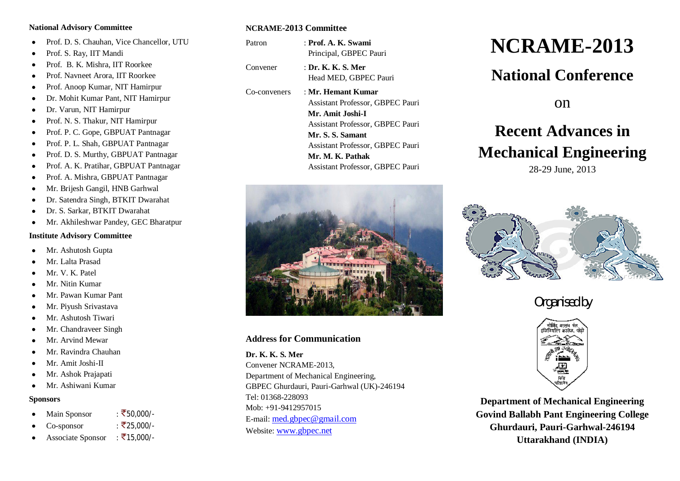#### **National Advisory Committee**

- Prof. D. S. Chauhan, Vice Chancellor, UTU
- Prof. S. Ray, IIT Mandi
- Prof. B. K. Mishra, IIT Roorkee
- Prof. Navneet Arora, IIT Roorkee
- Prof. Anoop Kumar, NIT Hamirpur
- Dr. Mohit Kumar Pant, NIT Hamirpur
- Dr. Varun, NIT Hamirpur
- Prof. N. S. Thakur, NIT Hamirpur
- Prof. P. C. Gope, GBPUAT Pantnagar
- Prof. P. L. Shah, GBPUAT Pantnagar
- Prof. D. S. Murthy, GBPUAT Pantnagar
- Prof. A. K. Pratihar, GBPUAT Pantnagar
- Prof. A. Mishra, GBPUAT Pantnagar
- Mr. Brijesh Gangil, HNB Garhwal
- Dr. Satendra Singh, BTKIT Dwarahat
- Dr. S. Sarkar, BTKIT Dwarahat
- Mr. Akhileshwar Pandey, GEC Bharatpur

#### **Institute Advisory Committee**

- Mr. Ashutosh Gupta
- Mr. Lalta Prasad
- Mr. V. K. Patel
- Mr. Nitin Kumar
- Mr. Pawan Kumar Pant
- Mr. Piyush Srivastava
- Mr. Ashutosh Tiwari
- Mr. Chandraveer Singh
- Mr. Arvind Mewar
- Mr. Ravindra Chauhan
- Mr. Amit Joshi-II
- Mr. Ashok Prajapati
- Mr. Ashiwani Kumar

#### **Sponsors**

- Main Sponsor :  $\overline{\xi}$ 50,000/-
- Co-sponsor :  $\bar{\bar{\zeta}}$ 25.000/-
- Associate Sponsor :  $\bar{z}$ 15,000/-

#### **NCRAME-2013 Committee**

- Patron : **Prof. A. K. Swami** Principal, GBPEC Pauri Convener : **Dr. K. K. S. Mer** Head MED, GBPEC Pauri
- Co-conveners : **Mr. Hemant Kumar** Assistant Professor, GBPEC Pauri  **Mr. Amit Joshi-I** Assistant Professor, GBPEC Pauri  **Mr. S. S. Samant** Assistant Professor, GBPEC Pauri  **Mr. M. K. Pathak** Assistant Professor, GBPEC Pauri



#### **Address for Communication**

**Dr. K. K. S. Mer** Convener NCRAME-2013, Department of Mechanical Engineering,

GBPEC Ghurdauri, Pauri-Garhwal (UK)-246194 Tel: 01368-228093 Mob: +91-9412957015 E-mail: med.gbpec@gmail.com Website: www.gbpec.net

# **NCRAME-2013**

## **National Conference**

on

## **Recent Advances in Mechanical Engineering**

28-29 June, 2013



### *Organised by*



**Department of Mechanical Engineering Govind Ballabh Pant Engineering College Ghurdauri, Pauri-Garhwal-246194 Uttarakhand (INDIA)**